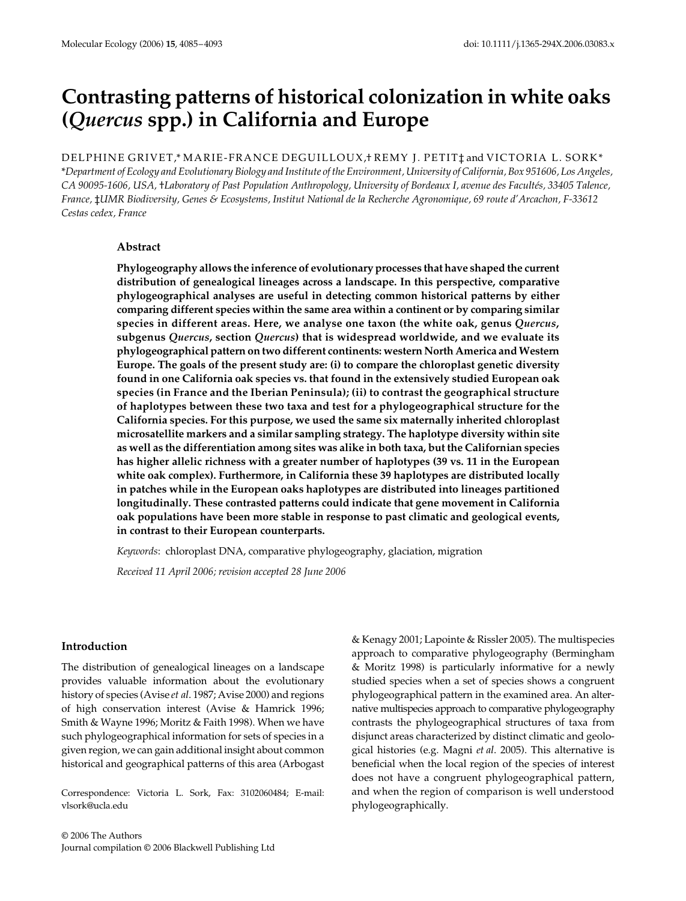# **Contrasting patterns of historical colonization in white oaks (***Quercus* **spp.) in California and Europe**

DELPHINE GRIVET,\* MARIE-FRANCE DEGUILLOUX,† REMY J. PETIT‡ and VICTORIA L. SORK\* \**Department of Ecology and Evolutionary Biology and Institute of the Environment, University of California, Box 951606, Los Angeles, CA 90095-1606, USA,* †*Laboratory of Past Population Anthropology, University of Bordeaux I, avenue des Facultés, 33405 Talence, France,* ‡*UMR Biodiversity, Genes & Ecosystems, Institut National de la Recherche Agronomique, 69 route d'Arcachon, F-33612 Cestas cedex, France* 

# **Abstract**

**Phylogeography allows the inference of evolutionary processes that have shaped the current distribution of genealogical lineages across a landscape. In this perspective, comparative phylogeographical analyses are useful in detecting common historical patterns by either comparing different species within the same area within a continent or by comparing similar species in different areas. Here, we analyse one taxon (the white oak, genus** *Quercus***, subgenus** *Quercus***, section** *Quercus***) that is widespread worldwide, and we evaluate its phylogeographical pattern on two different continents: western North America and Western Europe. The goals of the present study are: (i) to compare the chloroplast genetic diversity found in one California oak species vs. that found in the extensively studied European oak species (in France and the Iberian Peninsula); (ii) to contrast the geographical structure of haplotypes between these two taxa and test for a phylogeographical structure for the California species. For this purpose, we used the same six maternally inherited chloroplast microsatellite markers and a similar sampling strategy. The haplotype diversity within site as well as the differentiation among sites was alike in both taxa, but the Californian species has higher allelic richness with a greater number of haplotypes (39 vs. 11 in the European white oak complex). Furthermore, in California these 39 haplotypes are distributed locally in patches while in the European oaks haplotypes are distributed into lineages partitioned longitudinally. These contrasted patterns could indicate that gene movement in California oak populations have been more stable in response to past climatic and geological events, in contrast to their European counterparts.**

*Keywords*: chloroplast DNA, comparative phylogeography, glaciation, migration

*Received 11 April 2006; revision accepted 28 June 2006*

# **Introduction**

The distribution of genealogical lineages on a landscape provides valuable information about the evolutionary history of species (Avise *et al*. 1987; Avise 2000) and regions of high conservation interest (Avise & Hamrick 1996; Smith & Wayne 1996; Moritz & Faith 1998). When we have such phylogeographical information for sets of species in a given region, we can gain additional insight about common historical and geographical patterns of this area (Arbogast

Correspondence: Victoria L. Sork, Fax: 3102060484; E-mail: vlsork@ucla.edu

© 2006 The Authors Journal compilation © 2006 Blackwell Publishing Ltd & Kenagy 2001; Lapointe & Rissler 2005). The multispecies approach to comparative phylogeography (Bermingham & Moritz 1998) is particularly informative for a newly studied species when a set of species shows a congruent phylogeographical pattern in the examined area. An alternative multispecies approach to comparative phylogeography contrasts the phylogeographical structures of taxa from disjunct areas characterized by distinct climatic and geological histories (e.g. Magni *et al*. 2005). This alternative is beneficial when the local region of the species of interest does not have a congruent phylogeographical pattern, and when the region of comparison is well understood phylogeographically.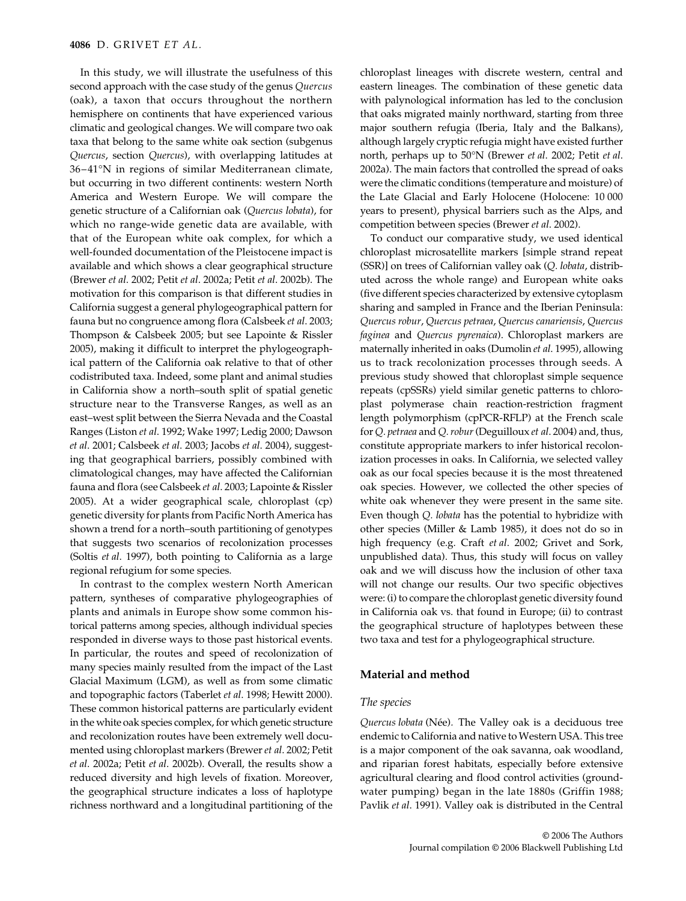In this study, we will illustrate the usefulness of this second approach with the case study of the genus *Quercus* (oak), a taxon that occurs throughout the northern hemisphere on continents that have experienced various climatic and geological changes. We will compare two oak taxa that belong to the same white oak section (subgenus *Quercus*, section *Quercus*), with overlapping latitudes at 36–41°N in regions of similar Mediterranean climate, but occurring in two different continents: western North America and Western Europe. We will compare the genetic structure of a Californian oak (*Quercus lobata*), for which no range-wide genetic data are available, with that of the European white oak complex, for which a well-founded documentation of the Pleistocene impact is available and which shows a clear geographical structure (Brewer *et al*. 2002; Petit *et al*. 2002a; Petit *et al*. 2002b). The motivation for this comparison is that different studies in California suggest a general phylogeographical pattern for fauna but no congruence among flora (Calsbeek *et al*. 2003; Thompson & Calsbeek 2005; but see Lapointe & Rissler 2005), making it difficult to interpret the phylogeographical pattern of the California oak relative to that of other codistributed taxa. Indeed, some plant and animal studies in California show a north–south split of spatial genetic structure near to the Transverse Ranges, as well as an east–west split between the Sierra Nevada and the Coastal Ranges (Liston *et al*. 1992; Wake 1997; Ledig 2000; Dawson *et al*. 2001; Calsbeek *et al*. 2003; Jacobs *et al*. 2004), suggesting that geographical barriers, possibly combined with climatological changes, may have affected the Californian fauna and flora (see Calsbeek *et al*. 2003; Lapointe & Rissler 2005). At a wider geographical scale, chloroplast (cp) genetic diversity for plants from Pacific North America has shown a trend for a north–south partitioning of genotypes that suggests two scenarios of recolonization processes (Soltis *et al*. 1997), both pointing to California as a large regional refugium for some species.

In contrast to the complex western North American pattern, syntheses of comparative phylogeographies of plants and animals in Europe show some common historical patterns among species, although individual species responded in diverse ways to those past historical events. In particular, the routes and speed of recolonization of many species mainly resulted from the impact of the Last Glacial Maximum (LGM), as well as from some climatic and topographic factors (Taberlet *et al*. 1998; Hewitt 2000). These common historical patterns are particularly evident in the white oak species complex, for which genetic structure and recolonization routes have been extremely well documented using chloroplast markers (Brewer *et al*. 2002; Petit *et al*. 2002a; Petit *et al*. 2002b). Overall, the results show a reduced diversity and high levels of fixation. Moreover, the geographical structure indicates a loss of haplotype richness northward and a longitudinal partitioning of the chloroplast lineages with discrete western, central and eastern lineages. The combination of these genetic data with palynological information has led to the conclusion that oaks migrated mainly northward, starting from three major southern refugia (Iberia, Italy and the Balkans), although largely cryptic refugia might have existed further north, perhaps up to 50°N (Brewer *et al*. 2002; Petit *et al*. 2002a). The main factors that controlled the spread of oaks were the climatic conditions (temperature and moisture) of the Late Glacial and Early Holocene (Holocene: 10 000 years to present), physical barriers such as the Alps, and competition between species (Brewer *et al*. 2002).

To conduct our comparative study, we used identical chloroplast microsatellite markers [simple strand repeat (SSR)] on trees of Californian valley oak (*Q. lobata*, distributed across the whole range) and European white oaks (five different species characterized by extensive cytoplasm sharing and sampled in France and the Iberian Peninsula: *Quercus robur*, *Quercus petraea*, *Quercus canariensis*, *Quercus faginea* and *Quercus pyrenaica*). Chloroplast markers are maternally inherited in oaks (Dumolin *et al*. 1995), allowing us to track recolonization processes through seeds. A previous study showed that chloroplast simple sequence repeats (cpSSRs) yield similar genetic patterns to chloroplast polymerase chain reaction-restriction fragment length polymorphism (cpPCR-RFLP) at the French scale for *Q. petraea* and *Q. robur*(Deguilloux *et al*. 2004) and, thus, constitute appropriate markers to infer historical recolonization processes in oaks. In California, we selected valley oak as our focal species because it is the most threatened oak species. However, we collected the other species of white oak whenever they were present in the same site. Even though *Q. lobata* has the potential to hybridize with other species (Miller & Lamb 1985), it does not do so in high frequency (e.g. Craft *et al*. 2002; Grivet and Sork, unpublished data). Thus, this study will focus on valley oak and we will discuss how the inclusion of other taxa will not change our results. Our two specific objectives were: (i) to compare the chloroplast genetic diversity found in California oak vs. that found in Europe; (ii) to contrast the geographical structure of haplotypes between these two taxa and test for a phylogeographical structure.

## **Material and method**

#### *The species*

*Quercus lobata* (Née)*.* The Valley oak is a deciduous tree endemic to California and native to Western USA. This tree is a major component of the oak savanna, oak woodland, and riparian forest habitats, especially before extensive agricultural clearing and flood control activities (groundwater pumping) began in the late 1880s (Griffin 1988; Pavlik *et al*. 1991). Valley oak is distributed in the Central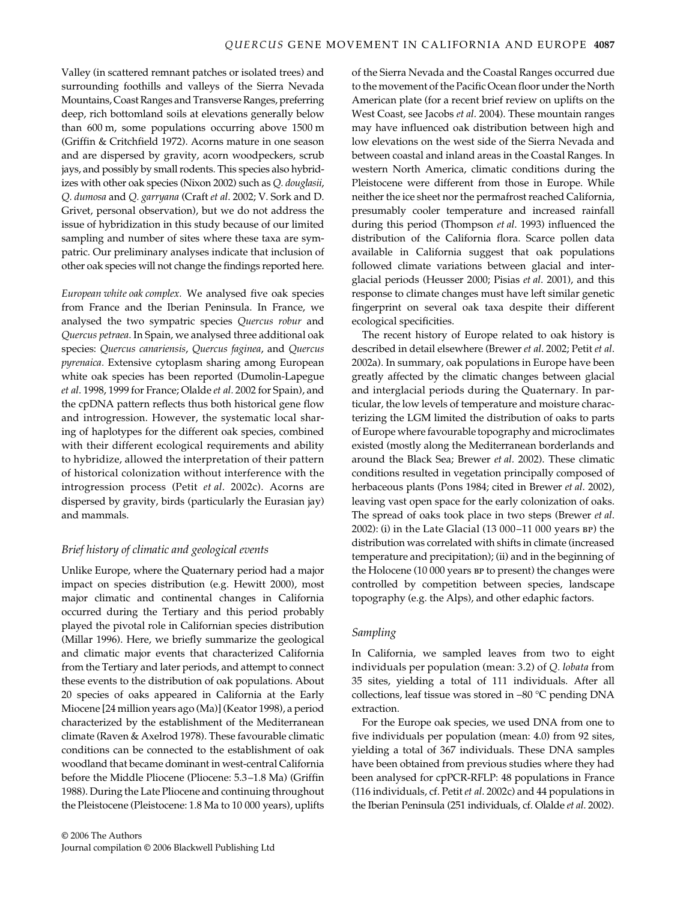Valley (in scattered remnant patches or isolated trees) and surrounding foothills and valleys of the Sierra Nevada Mountains, Coast Ranges and Transverse Ranges, preferring deep, rich bottomland soils at elevations generally below than 600 m, some populations occurring above 1500 m (Griffin & Critchfield 1972). Acorns mature in one season and are dispersed by gravity, acorn woodpeckers, scrub jays, and possibly by small rodents. This species also hybridizes with other oak species (Nixon 2002) such as *Q. douglasii*, *Q. dumosa* and *Q. garryana* (Craft *et al*. 2002; V. Sork and D. Grivet, personal observation), but we do not address the issue of hybridization in this study because of our limited sampling and number of sites where these taxa are sympatric. Our preliminary analyses indicate that inclusion of other oak species will not change the findings reported here.

*European white oak complex.* We analysed five oak species from France and the Iberian Peninsula. In France, we analysed the two sympatric species *Quercus robur* and *Quercus petraea*. In Spain, we analysed three additional oak species: *Quercus canariensis*, *Quercus faginea*, and *Quercus pyrenaica.* Extensive cytoplasm sharing among European white oak species has been reported (Dumolin-Lapegue *et al*. 1998, 1999 for France; Olalde *et al.* 2002 for Spain), and the cpDNA pattern reflects thus both historical gene flow and introgression. However, the systematic local sharing of haplotypes for the different oak species, combined with their different ecological requirements and ability to hybridize, allowed the interpretation of their pattern of historical colonization without interference with the introgression process (Petit *et al*. 2002c). Acorns are dispersed by gravity, birds (particularly the Eurasian jay) and mammals.

## *Brief history of climatic and geological events*

Unlike Europe, where the Quaternary period had a major impact on species distribution (e.g. Hewitt 2000), most major climatic and continental changes in California occurred during the Tertiary and this period probably played the pivotal role in Californian species distribution (Millar 1996). Here, we briefly summarize the geological and climatic major events that characterized California from the Tertiary and later periods, and attempt to connect these events to the distribution of oak populations. About 20 species of oaks appeared in California at the Early Miocene [24 million years ago (Ma)] (Keator 1998), a period characterized by the establishment of the Mediterranean climate (Raven & Axelrod 1978). These favourable climatic conditions can be connected to the establishment of oak woodland that became dominant in west-central California before the Middle Pliocene (Pliocene: 5.3–1.8 Ma) (Griffin 1988). During the Late Pliocene and continuing throughout the Pleistocene (Pleistocene: 1.8 Ma to 10 000 years), uplifts

of the Sierra Nevada and the Coastal Ranges occurred due to the movement of the Pacific Ocean floor under the North American plate (for a recent brief review on uplifts on the West Coast, see Jacobs *et al*. 2004). These mountain ranges may have influenced oak distribution between high and low elevations on the west side of the Sierra Nevada and between coastal and inland areas in the Coastal Ranges. In western North America, climatic conditions during the Pleistocene were different from those in Europe. While neither the ice sheet nor the permafrost reached California, presumably cooler temperature and increased rainfall during this period (Thompson *et al*. 1993) influenced the distribution of the California flora. Scarce pollen data available in California suggest that oak populations followed climate variations between glacial and interglacial periods (Heusser 2000; Pisias *et al*. 2001), and this response to climate changes must have left similar genetic fingerprint on several oak taxa despite their different ecological specificities.

The recent history of Europe related to oak history is described in detail elsewhere (Brewer *et al*. 2002; Petit *et al*. 2002a). In summary, oak populations in Europe have been greatly affected by the climatic changes between glacial and interglacial periods during the Quaternary. In particular, the low levels of temperature and moisture characterizing the LGM limited the distribution of oaks to parts of Europe where favourable topography and microclimates existed (mostly along the Mediterranean borderlands and around the Black Sea; Brewer *et al.* 2002). These climatic conditions resulted in vegetation principally composed of herbaceous plants (Pons 1984; cited in Brewer *et al*. 2002), leaving vast open space for the early colonization of oaks. The spread of oaks took place in two steps (Brewer *et al*. 2002): (i) in the Late Glacial (13 000–11 000 years bp) the distribution was correlated with shifts in climate (increased temperature and precipitation); (ii) and in the beginning of the Holocene (10 000 years BP to present) the changes were controlled by competition between species, landscape topography (e.g. the Alps), and other edaphic factors.

### *Sampling*

In California, we sampled leaves from two to eight individuals per population (mean: 3.2) of *Q. lobata* from 35 sites, yielding a total of 111 individuals. After all collections, leaf tissue was stored in −80 °C pending DNA extraction.

For the Europe oak species, we used DNA from one to five individuals per population (mean: 4.0) from 92 sites, yielding a total of 367 individuals. These DNA samples have been obtained from previous studies where they had been analysed for cpPCR-RFLP: 48 populations in France (116 individuals, cf. Petit *et al*. 2002c) and 44 populations in the Iberian Peninsula (251 individuals, cf. Olalde *et al*. 2002).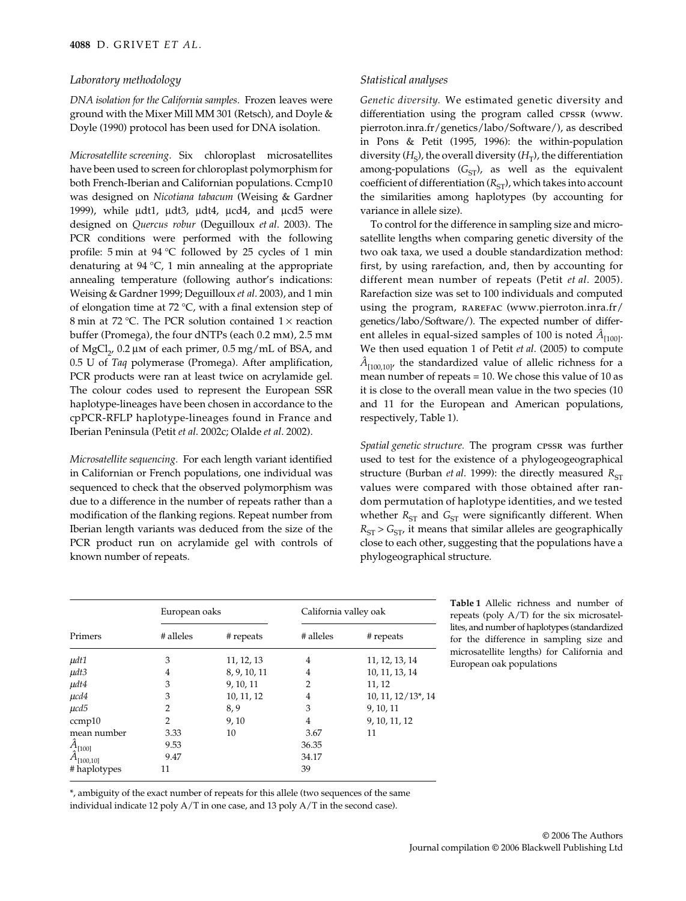#### *Laboratory methodology*

*DNA isolation for the California samples.* Frozen leaves were ground with the Mixer Mill MM 301 (Retsch), and Doyle & Doyle (1990) protocol has been used for DNA isolation.

*Microsatellite screening.* Six chloroplast microsatellites have been used to screen for chloroplast polymorphism for both French-Iberian and Californian populations. Ccmp10 was designed on *Nicotiana tabacum* (Weising & Gardner 1999), while µdt1, µdt3, µdt4, µcd4, and µcd5 were designed on *Quercus robur* (Deguilloux *et al*. 2003). The PCR conditions were performed with the following profile: 5 min at 94 °C followed by 25 cycles of 1 min denaturing at 94 °C, 1 min annealing at the appropriate annealing temperature (following author's indications: Weising & Gardner 1999; Deguilloux *et al*. 2003), and 1 min of elongation time at 72 °C, with a final extension step of 8 min at 72 °C. The PCR solution contained  $1 \times$  reaction buffer (Promega), the four dNTPs (each 0.2 mm), 2.5 mm of MgCl<sub>2</sub>, 0.2  $\mu$ m of each primer, 0.5 mg/mL of BSA, and 0.5 U of *Taq* polymerase (Promega). After amplification, PCR products were ran at least twice on acrylamide gel. The colour codes used to represent the European SSR haplotype-lineages have been chosen in accordance to the cpPCR-RFLP haplotype-lineages found in France and Iberian Peninsula (Petit *et al*. 2002c; Olalde *et al*. 2002).

*Microsatellite sequencing.* For each length variant identified in Californian or French populations, one individual was sequenced to check that the observed polymorphism was due to a difference in the number of repeats rather than a modification of the flanking regions. Repeat number from Iberian length variants was deduced from the size of the PCR product run on acrylamide gel with controls of known number of repeats.

#### *Statistical analyses*

*Genetic diversity.* We estimated genetic diversity and differentiation using the program called CPSSR (www. pierroton.inra.fr/genetics/labo/Software/), as described in Pons & Petit (1995, 1996): the within-population diversity  $(H<sub>s</sub>)$ , the overall diversity  $(H<sub>T</sub>)$ , the differentiation among-populations  $(G_{ST})$ , as well as the equivalent coefficient of differentiation  $(R_{ST})$ , which takes into account the similarities among haplotypes (by accounting for variance in allele size).

To control for the difference in sampling size and microsatellite lengths when comparing genetic diversity of the two oak taxa, we used a double standardization method: first, by using rarefaction, and, then by accounting for different mean number of repeats (Petit *et al*. 2005). Rarefaction size was set to 100 individuals and computed using the program, RAREFAC (www.pierroton.inra.fr/ genetics/labo/Software/). The expected number of different alleles in equal-sized samples of 100 is noted  $\hat{A}_{[100]}$ . We then used equation 1 of Petit *et al*. (2005) to compute  $\hat{A}_{[100,10]}$ , the standardized value of allelic richness for a mean number of repeats = 10. We chose this value of 10 as it is close to the overall mean value in the two species (10 and 11 for the European and American populations, respectively, Table 1).

*Spatial genetic structure.* The program cpssr was further used to test for the existence of a phylogeogeographical structure (Burban *et al.* 1999): the directly measured  $R_{ST}$ values were compared with those obtained after random permutation of haplotype identities, and we tested whether  $R_{ST}$  and  $G_{ST}$  were significantly different. When  $R_{ST}$  >  $G_{ST}$ , it means that similar alleles are geographically close to each other, suggesting that the populations have a phylogeographical structure.

| Primers              | European oaks |              | California valley oak |                    |
|----------------------|---------------|--------------|-----------------------|--------------------|
|                      | # alleles     | # repeats    | # alleles             | # repeats          |
| $\mu dt1$            | 3             | 11, 12, 13   | 4                     | 11, 12, 13, 14     |
| $\mu dt3$            | 4             | 8, 9, 10, 11 | 4                     | 10, 11, 13, 14     |
| $\mu dt4$            | 3             | 9, 10, 11    | $\overline{2}$        | 11, 12             |
| $\mu$ cd $4$         | 3             | 10, 11, 12   | 4                     | 10, 11, 12/13*, 14 |
| $\mu$ cd5            | 2             | 8,9          | 3                     | 9, 10, 11          |
| ccmp10               | 2             | 9, 10        | 4                     | 9, 10, 11, 12      |
| mean number          | 3.33          | 10           | 3.67                  | 11                 |
| $\hat{A}_{[100]}$    | 9.53          |              | 36.35                 |                    |
| $\hat{A}_{[100,10]}$ | 9.47          |              | 34.17                 |                    |
| # haplotypes         | 11            |              | 39                    |                    |

**Table 1** Allelic richness and number of repeats (poly A/T) for the six microsatellites, and number of haplotypes (standardized for the difference in sampling size and microsatellite lengths) for California and European oak populations

\*, ambiguity of the exact number of repeats for this allele (two sequences of the same individual indicate 12 poly A/T in one case, and 13 poly A/T in the second case).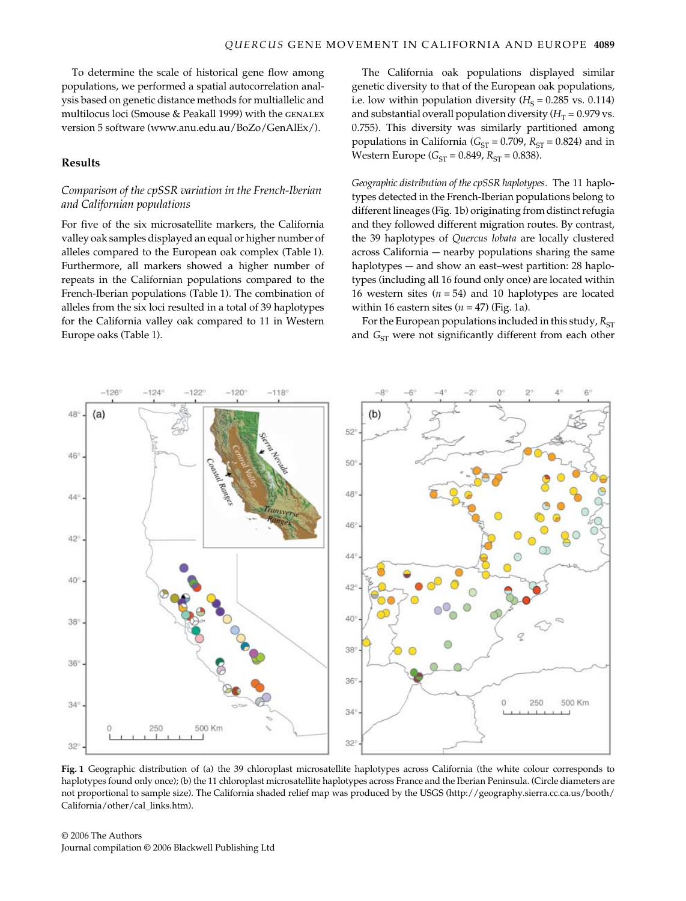To determine the scale of historical gene flow among populations, we performed a spatial autocorrelation analysis based on genetic distance methods for multiallelic and multilocus loci (Smouse & Peakall 1999) with the GENALEX version 5 software (www.anu.edu.au/BoZo/GenAlEx/).

#### **Results**

# *Comparison of the cpSSR variation in the French-Iberian and Californian populations*

For five of the six microsatellite markers, the California valley oak samples displayed an equal or higher number of alleles compared to the European oak complex (Table 1). Furthermore, all markers showed a higher number of repeats in the Californian populations compared to the French-Iberian populations (Table 1). The combination of alleles from the six loci resulted in a total of 39 haplotypes for the California valley oak compared to 11 in Western Europe oaks (Table 1).

The California oak populations displayed similar genetic diversity to that of the European oak populations, i.e. low within population diversity  $(H<sub>S</sub> = 0.285 \text{ vs. } 0.114)$ and substantial overall population diversity  $(H_T = 0.979 \text{ vs.})$ 0.755). This diversity was similarly partitioned among populations in California ( $G_{ST}$  = 0.709,  $R_{ST}$  = 0.824) and in Western Europe ( $G_{ST} = 0.849$ ,  $R_{ST} = 0.838$ ).

*Geographic distribution of the cpSSR haplotypes.* The 11 haplotypes detected in the French-Iberian populations belong to different lineages (Fig. 1b) originating from distinct refugia and they followed different migration routes. By contrast, the 39 haplotypes of *Quercus lobata* are locally clustered across California — nearby populations sharing the same haplotypes — and show an east–west partition: 28 haplotypes (including all 16 found only once) are located within 16 western sites  $(n = 54)$  and 10 haplotypes are located within 16 eastern sites  $(n = 47)$  (Fig. 1a).

For the European populations included in this study,  $R_{ST}$ and G<sub>ST</sub> were not significantly different from each other



**Fig. 1** Geographic distribution of (a) the 39 chloroplast microsatellite haplotypes across California (the white colour corresponds to haplotypes found only once); (b) the 11 chloroplast microsatellite haplotypes across France and the Iberian Peninsula. (Circle diameters are not proportional to sample size). The California shaded relief map was produced by the USGS (http://geography.sierra.cc.ca.us/booth/ California/other/cal\_links.htm).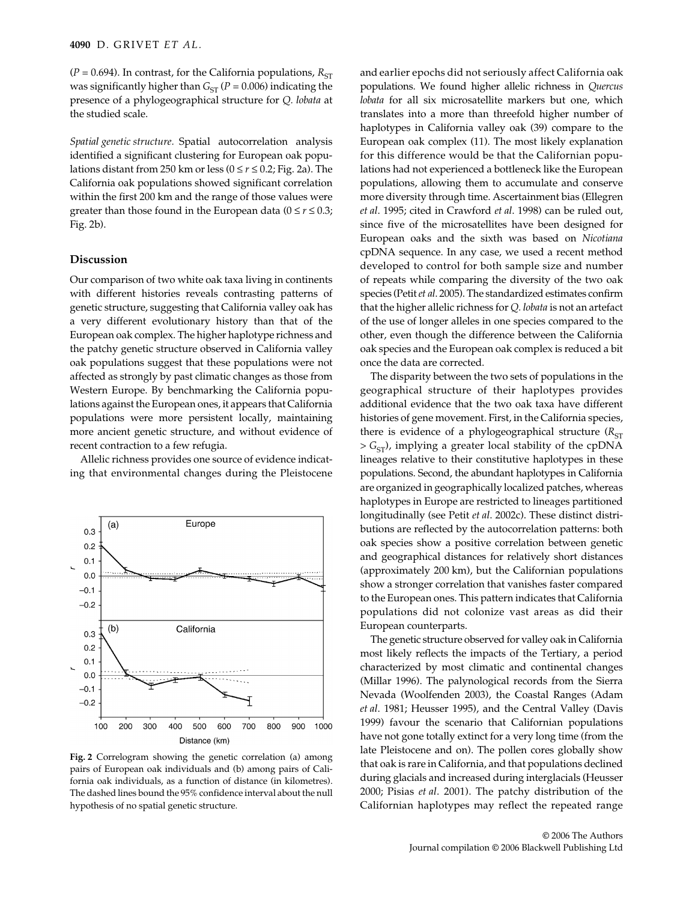$(P = 0.694)$ . In contrast, for the California populations,  $R_{ST}$ was significantly higher than  $G_{ST}$  ( $P = 0.006$ ) indicating the presence of a phylogeographical structure for *Q. lobata* at the studied scale.

*Spatial genetic structure.* Spatial autocorrelation analysis identified a significant clustering for European oak populations distant from 250 km or less ( $0 \le r \le 0.2$ ; Fig. 2a). The California oak populations showed significant correlation within the first 200 km and the range of those values were greater than those found in the European data ( $0 \le r \le 0.3$ ; Fig. 2b).

### **Discussion**

Our comparison of two white oak taxa living in continents with different histories reveals contrasting patterns of genetic structure, suggesting that California valley oak has a very different evolutionary history than that of the European oak complex. The higher haplotype richness and the patchy genetic structure observed in California valley oak populations suggest that these populations were not affected as strongly by past climatic changes as those from Western Europe. By benchmarking the California populations against the European ones, it appears that California populations were more persistent locally, maintaining more ancient genetic structure, and without evidence of recent contraction to a few refugia.

Allelic richness provides one source of evidence indicating that environmental changes during the Pleistocene



**Fig. 2** Correlogram showing the genetic correlation (a) among pairs of European oak individuals and (b) among pairs of California oak individuals, as a function of distance (in kilometres). The dashed lines bound the 95% confidence interval about the null hypothesis of no spatial genetic structure.

and earlier epochs did not seriously affect California oak populations. We found higher allelic richness in *Quercus lobata* for all six microsatellite markers but one, which translates into a more than threefold higher number of haplotypes in California valley oak (39) compare to the European oak complex (11). The most likely explanation for this difference would be that the Californian populations had not experienced a bottleneck like the European populations, allowing them to accumulate and conserve more diversity through time. Ascertainment bias (Ellegren *et al*. 1995; cited in Crawford *et al*. 1998) can be ruled out, since five of the microsatellites have been designed for European oaks and the sixth was based on *Nicotiana* cpDNA sequence. In any case, we used a recent method developed to control for both sample size and number of repeats while comparing the diversity of the two oak species (Petit *et al*. 2005). The standardized estimates confirm that the higher allelic richness for *Q. lobata* is not an artefact of the use of longer alleles in one species compared to the other, even though the difference between the California oak species and the European oak complex is reduced a bit once the data are corrected.

The disparity between the two sets of populations in the geographical structure of their haplotypes provides additional evidence that the two oak taxa have different histories of gene movement. First, in the California species, there is evidence of a phylogeographical structure  $(R<sub>ST</sub>)$  $>$   $G<sub>ST</sub>$ ), implying a greater local stability of the cpDNA lineages relative to their constitutive haplotypes in these populations. Second, the abundant haplotypes in California are organized in geographically localized patches, whereas haplotypes in Europe are restricted to lineages partitioned longitudinally (see Petit *et al*. 2002c). These distinct distributions are reflected by the autocorrelation patterns: both oak species show a positive correlation between genetic and geographical distances for relatively short distances (approximately 200 km), but the Californian populations show a stronger correlation that vanishes faster compared to the European ones. This pattern indicates that California populations did not colonize vast areas as did their European counterparts.

The genetic structure observed for valley oak in California most likely reflects the impacts of the Tertiary, a period characterized by most climatic and continental changes (Millar 1996). The palynological records from the Sierra Nevada (Woolfenden 2003), the Coastal Ranges (Adam *et al*. 1981; Heusser 1995), and the Central Valley (Davis 1999) favour the scenario that Californian populations have not gone totally extinct for a very long time (from the late Pleistocene and on). The pollen cores globally show that oak is rare in California, and that populations declined during glacials and increased during interglacials (Heusser 2000; Pisias *et al*. 2001). The patchy distribution of the Californian haplotypes may reflect the repeated range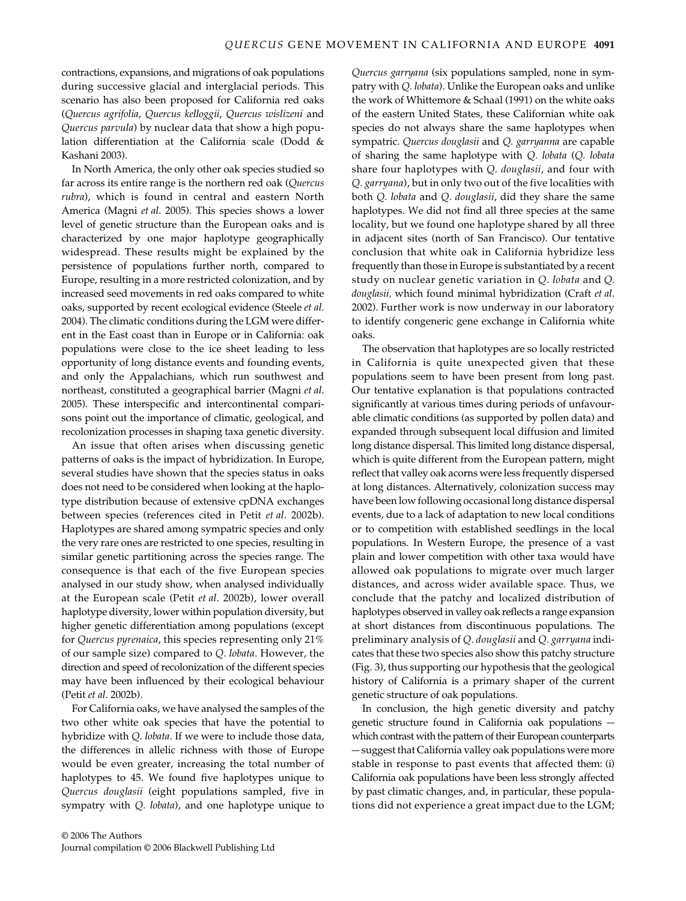*Quercus garryana* (six populations sampled, none in sympatry with *Q. lobata*). Unlike the European oaks and unlike the work of Whittemore & Schaal (1991) on the white oaks

contractions, expansions, and migrations of oak populations during successive glacial and interglacial periods. This scenario has also been proposed for California red oaks (*Quercus agrifolia*, *Quercus kelloggii*, *Quercus wislizeni* and *Quercus parvula*) by nuclear data that show a high population differentiation at the California scale (Dodd & Kashani 2003).

In North America, the only other oak species studied so far across its entire range is the northern red oak (*Quercus rubra*), which is found in central and eastern North America (Magni *et al*. 2005). This species shows a lower level of genetic structure than the European oaks and is characterized by one major haplotype geographically widespread. These results might be explained by the persistence of populations further north, compared to Europe, resulting in a more restricted colonization, and by increased seed movements in red oaks compared to white oaks, supported by recent ecological evidence (Steele *et al*. 2004). The climatic conditions during the LGM were different in the East coast than in Europe or in California: oak populations were close to the ice sheet leading to less opportunity of long distance events and founding events, and only the Appalachians, which run southwest and northeast, constituted a geographical barrier (Magni *et al*. 2005). These interspecific and intercontinental comparisons point out the importance of climatic, geological, and recolonization processes in shaping taxa genetic diversity.

An issue that often arises when discussing genetic patterns of oaks is the impact of hybridization. In Europe, several studies have shown that the species status in oaks does not need to be considered when looking at the haplotype distribution because of extensive cpDNA exchanges between species (references cited in Petit *et al*. 2002b). Haplotypes are shared among sympatric species and only the very rare ones are restricted to one species, resulting in similar genetic partitioning across the species range. The consequence is that each of the five European species analysed in our study show, when analysed individually at the European scale (Petit *et al*. 2002b), lower overall haplotype diversity, lower within population diversity, but higher genetic differentiation among populations (except for *Quercus pyrenaica*, this species representing only 21% of our sample size) compared to *Q. lobata*. However, the direction and speed of recolonization of the different species may have been influenced by their ecological behaviour (Petit *et al*. 2002b).

For California oaks, we have analysed the samples of the two other white oak species that have the potential to hybridize with *Q. lobata*. If we were to include those data, the differences in allelic richness with those of Europe would be even greater, increasing the total number of haplotypes to 45. We found five haplotypes unique to *Quercus douglasii* (eight populations sampled, five in sympatry with *Q. lobata*), and one haplotype unique to

of the eastern United States, these Californian white oak species do not always share the same haplotypes when sympatric. *Quercus douglasii* and *Q. garryanna* are capable of sharing the same haplotype with *Q. lobata* (*Q. lobata* share four haplotypes with *Q. douglasii*, and four with *Q. garryana*), but in only two out of the five localities with both *Q. lobata* and *Q. douglasii*, did they share the same haplotypes. We did not find all three species at the same locality, but we found one haplotype shared by all three in adjacent sites (north of San Francisco). Our tentative conclusion that white oak in California hybridize less frequently than those in Europe is substantiated by a recent study on nuclear genetic variation in *Q. lobata* and *Q. douglasii,* which found minimal hybridization (Craft *et al*. 2002). Further work is now underway in our laboratory to identify congeneric gene exchange in California white oaks. The observation that haplotypes are so locally restricted in California is quite unexpected given that these populations seem to have been present from long past.

Our tentative explanation is that populations contracted significantly at various times during periods of unfavourable climatic conditions (as supported by pollen data) and expanded through subsequent local diffusion and limited long distance dispersal. This limited long distance dispersal, which is quite different from the European pattern, might reflect that valley oak acorns were less frequently dispersed at long distances. Alternatively, colonization success may have been low following occasional long distance dispersal events, due to a lack of adaptation to new local conditions or to competition with established seedlings in the local populations. In Western Europe, the presence of a vast plain and lower competition with other taxa would have allowed oak populations to migrate over much larger distances, and across wider available space. Thus, we conclude that the patchy and localized distribution of haplotypes observed in valley oak reflects a range expansion at short distances from discontinuous populations. The preliminary analysis of *Q. douglasii* and *Q. garryana* indicates that these two species also show this patchy structure (Fig. 3), thus supporting our hypothesis that the geological history of California is a primary shaper of the current genetic structure of oak populations.

In conclusion, the high genetic diversity and patchy genetic structure found in California oak populations which contrast with the pattern of their European counterparts — suggest that California valley oak populations were more stable in response to past events that affected them: (i) California oak populations have been less strongly affected by past climatic changes, and, in particular, these populations did not experience a great impact due to the LGM;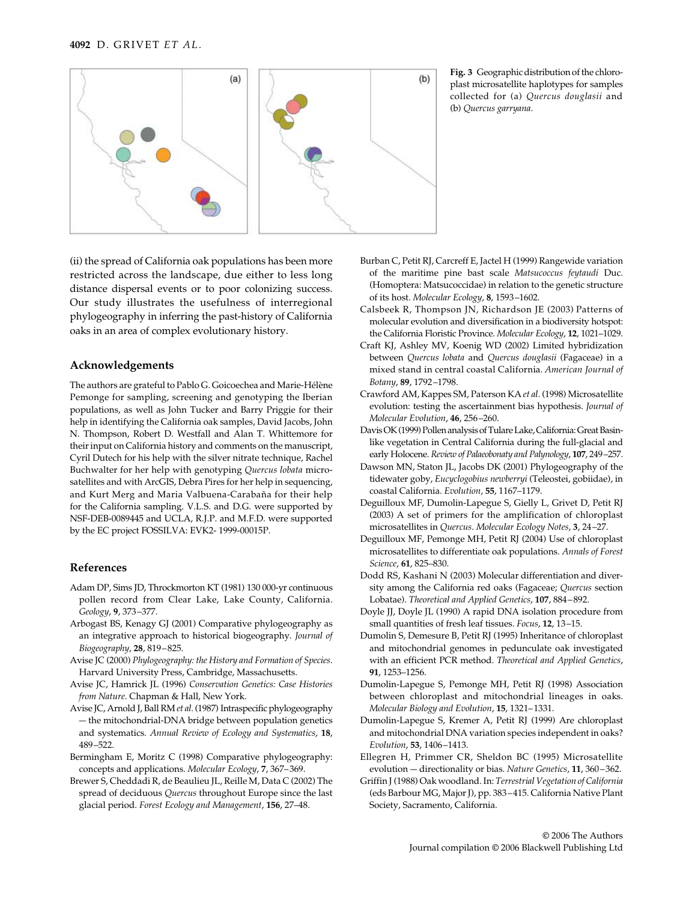

**Fig. 3** Geographic distribution of the chloroplast microsatellite haplotypes for samples collected for (a) *Quercus douglasii* and (b) *Quercus garryana*.

(ii) the spread of California oak populations has been more restricted across the landscape, due either to less long distance dispersal events or to poor colonizing success. Our study illustrates the usefulness of interregional phylogeography in inferring the past-history of California oaks in an area of complex evolutionary history.

#### **Acknowledgements**

The authors are grateful to Pablo G. Goicoechea and Marie-Hélène Pemonge for sampling, screening and genotyping the Iberian populations, as well as John Tucker and Barry Priggie for their help in identifying the California oak samples, David Jacobs, John N. Thompson, Robert D. Westfall and Alan T. Whittemore for their input on California history and comments on the manuscript, Cyril Dutech for his help with the silver nitrate technique, Rachel Buchwalter for her help with genotyping *Quercus lobata* microsatellites and with ArcGIS, Debra Pires for her help in sequencing, and Kurt Merg and Maria Valbuena-Carabaña for their help for the California sampling. V.L.S. and D.G. were supported by NSF-DEB-0089445 and UCLA, R.J.P. and M.F.D. were supported by the EC project FOSSILVA: EVK2- 1999-00015P.

#### **References**

- Adam DP, Sims JD, Throckmorton KT (1981) 130 000-yr continuous pollen record from Clear Lake, Lake County, California. *Geology*, **9**, 373–377.
- Arbogast BS, Kenagy GJ (2001) Comparative phylogeography as an integrative approach to historical biogeography. *Journal of Biogeography*, **28**, 819–825.
- Avise JC (2000) *Phylogeography: the History and Formation of Species*. Harvard University Press, Cambridge, Massachusetts.
- Avise JC, Hamrick JL (1996) *Conservation Genetics: Case Histories from Nature*. Chapman & Hall, New York.
- Avise JC, Arnold J, Ball RM *et al.* (1987) Intraspecific phylogeography — the mitochondrial-DNA bridge between population genetics and systematics. *Annual Review of Ecology and Systematics*, **18**, 489–522.
- Bermingham E, Moritz C (1998) Comparative phylogeography: concepts and applications. *Molecular Ecology*, **7**, 367–369.
- Brewer S, Cheddadi R, de Beaulieu JL, Reille M, Data C (2002) The spread of deciduous *Quercus* throughout Europe since the last glacial period. *Forest Ecology and Management*, **156**, 27–48.
- Burban C, Petit RJ, Carcreff E, Jactel H (1999) Rangewide variation of the maritime pine bast scale *Matsucoccus feytaudi* Duc. (Homoptera: Matsucoccidae) in relation to the genetic structure of its host. *Molecular Ecology*, **8**, 1593–1602.
- Calsbeek R, Thompson JN, Richardson JE (2003) Patterns of molecular evolution and diversification in a biodiversity hotspot: the California Floristic Province. *Molecular Ecology*, **12**, 1021–1029.
- Craft KJ, Ashley MV, Koenig WD (2002) Limited hybridization between *Quercus lobata* and *Quercus douglasii* (Fagaceae) in a mixed stand in central coastal California. *American Journal of Botany*, **89**, 1792–1798.
- Crawford AM, Kappes SM, Paterson KA *et al.* (1998) Microsatellite evolution: testing the ascertainment bias hypothesis. *Journal of Molecular Evolution*, **46**, 256–260.
- Davis OK (1999) Pollen analysis of Tulare Lake, California: Great Basinlike vegetation in Central California during the full-glacial and early Holocene. *Review of Palaeobonaty and Palynology*, **107**, 249–257.
- Dawson MN, Staton JL, Jacobs DK (2001) Phylogeography of the tidewater goby, *Eucyclogobius newberryi* (Teleostei, gobiidae), in coastal California. *Evolution*, **55**, 1167–1179.
- Deguilloux MF, Dumolin-Lapegue S, Gielly L, Grivet D, Petit RJ (2003) A set of primers for the amplification of chloroplast microsatellites in *Quercus*. *Molecular Ecology Notes*, **3**, 24–27.
- Deguilloux MF, Pemonge MH, Petit RJ (2004) Use of chloroplast microsatellites to differentiate oak populations. *Annals of Forest Science*, **61**, 825–830.
- Dodd RS, Kashani N (2003) Molecular differentiation and diversity among the California red oaks (Fagaceae; *Quercus* section Lobatae). *Theoretical and Applied Genetics*, **107**, 884–892.
- Doyle JJ, Doyle JL (1990) A rapid DNA isolation procedure from small quantities of fresh leaf tissues. *Focus*, **12**, 13–15.
- Dumolin S, Demesure B, Petit RJ (1995) Inheritance of chloroplast and mitochondrial genomes in pedunculate oak investigated with an efficient PCR method. *Theoretical and Applied Genetics*, **91**, 1253–1256.
- Dumolin-Lapegue S, Pemonge MH, Petit RJ (1998) Association between chloroplast and mitochondrial lineages in oaks. *Molecular Biology and Evolution*, **15**, 1321–1331.
- Dumolin-Lapegue S, Kremer A, Petit RJ (1999) Are chloroplast and mitochondrial DNA variation species independent in oaks? *Evolution*, **53**, 1406–1413.
- Ellegren H, Primmer CR, Sheldon BC (1995) Microsatellite evolution — directionality or bias. *Nature Genetics*, **11**, 360–362.
- Griffin J (1988) Oak woodland. In: *Terrestrial Vegetation of California* (eds Barbour MG, Major J), pp. 383–415. California Native Plant Society, Sacramento, California.